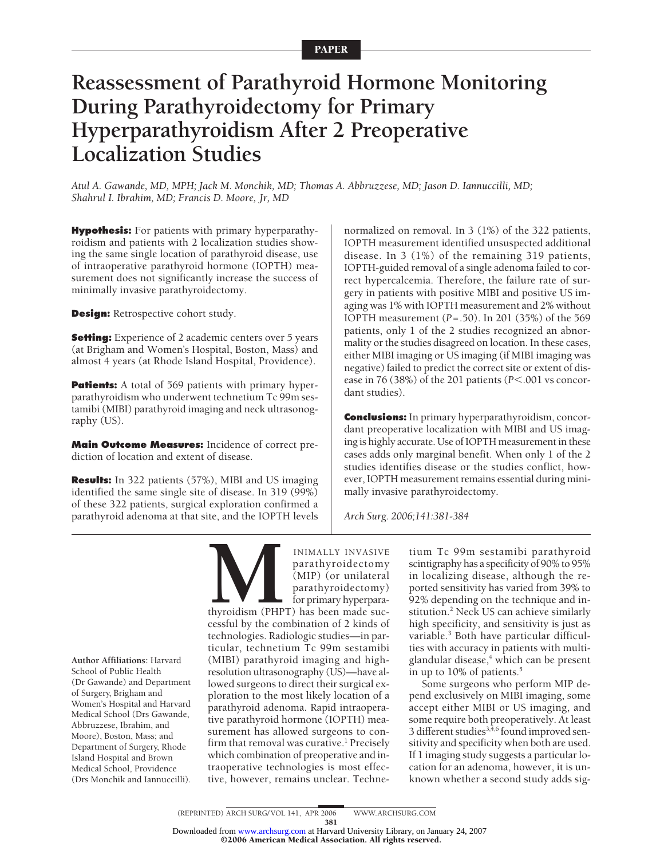# **Reassessment of Parathyroid Hormone Monitoring During Parathyroidectomy for Primary Hyperparathyroidism After 2 Preoperative Localization Studies**

*Atul A. Gawande, MD, MPH; Jack M. Monchik, MD; Thomas A. Abbruzzese, MD; Jason D. Iannuccilli, MD; Shahrul I. Ibrahim, MD; Francis D. Moore, Jr, MD*

**Hypothesis:** For patients with primary hyperparathyroidism and patients with 2 localization studies showing the same single location of parathyroid disease, use of intraoperative parathyroid hormone (IOPTH) measurement does not significantly increase the success of minimally invasive parathyroidectomy.

**Design:** Retrospective cohort study.

**Setting:** Experience of 2 academic centers over 5 years (at Brigham and Women's Hospital, Boston, Mass) and almost 4 years (at Rhode Island Hospital, Providence).

**Patients:** A total of 569 patients with primary hyperparathyroidism who underwent technetium Tc 99m sestamibi (MIBI) parathyroid imaging and neck ultrasonography (US).

**Main Outcome Measures:** Incidence of correct prediction of location and extent of disease.

**Results:** In 322 patients (57%), MIBI and US imaging identified the same single site of disease. In 319 (99%) of these 322 patients, surgical exploration confirmed a parathyroid adenoma at that site, and the IOPTH levels

normalized on removal. In 3 (1%) of the 322 patients, IOPTH measurement identified unsuspected additional disease. In 3 (1%) of the remaining 319 patients, IOPTH-guided removal of a single adenoma failed to correct hypercalcemia. Therefore, the failure rate of surgery in patients with positive MIBI and positive US imaging was 1% with IOPTH measurement and 2% without IOPTH measurement (*P*=.50). In 201 (35%) of the 569 patients, only 1 of the 2 studies recognized an abnormality or the studies disagreed on location. In these cases, either MIBI imaging or US imaging (if MIBI imaging was negative) failed to predict the correct site or extent of disease in 76 (38%) of the 201 patients (*P<.001* vs concordant studies).

**Conclusions:** In primary hyperparathyroidism, concordant preoperative localization with MIBI and US imaging is highly accurate. Use of IOPTH measurement in these cases adds only marginal benefit. When only 1 of the 2 studies identifies disease or the studies conflict, however, IOPTH measurement remains essential during minimally invasive parathyroidectomy.

*Arch Surg. 2006;141:381-384*

**Author Affiliations:** Harvard School of Public Health (Dr Gawande) and Department of Surgery, Brigham and Women's Hospital and Harvard Medical School (Drs Gawande, Abbruzzese, Ibrahim, and Moore), Boston, Mass; and Department of Surgery, Rhode Island Hospital and Brown Medical School, Providence (Drs Monchik and Iannuccilli).

INIMALLY INVASIVE<br>
parathyroidectomy<br>
(MIP) (or unilateral<br>
parathyroidectomy)<br>
for primary hyperpara-<br>
thyroidism (PHPT) has been made successful by the combination of 2 kinds of parathyroidectomy (MIP) (or unilateral parathyroidectomy) for primary hyperparathyroidism (PHPT) has been made successful by the combination of 2 kinds of technologies. Radiologic studies—in particular, technetium Tc 99m sestamibi (MIBI) parathyroid imaging and highresolution ultrasonography (US)—have allowed surgeons to direct their surgical exploration to the most likely location of a parathyroid adenoma. Rapid intraoperative parathyroid hormone (IOPTH) measurement has allowed surgeons to confirm that removal was curative.<sup>1</sup> Precisely which combination of preoperative and intraoperative technologies is most effective, however, remains unclear. Techne-

tium Tc 99m sestamibi parathyroid scintigraphy has a specificity of 90% to 95% in localizing disease, although the reported sensitivity has varied from 39% to 92% depending on the technique and institution.<sup>2</sup> Neck US can achieve similarly high specificity, and sensitivity is just as variable.<sup>3</sup> Both have particular difficulties with accuracy in patients with multiglandular disease,<sup>4</sup> which can be present in up to 10% of patients.<sup>5</sup>

Some surgeons who perform MIP depend exclusively on MIBI imaging, some accept either MIBI or US imaging, and some require both preoperatively. At least 3 different studies<sup>3,4,6</sup> found improved sensitivity and specificity when both are used. If 1 imaging study suggests a particular location for an adenoma, however, it is unknown whether a second study adds sig-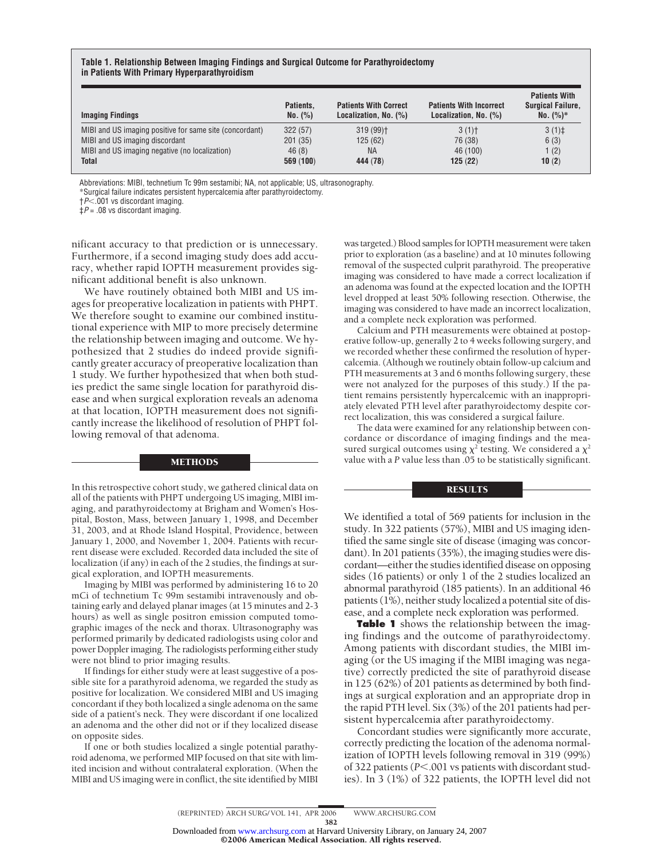# **Table 1. Relationship Between Imaging Findings and Surgical Outcome for Parathyroidectomy in Patients With Primary Hyperparathyroidism**

| <b>Imaging Findings</b>                                 | Patients.<br>No. (%) | <b>Patients With Correct</b><br>Localization, No. (%) | <b>Patients With Incorrect</b><br>Localization, No. (%) | <b>Patients With</b><br><b>Surgical Failure.</b><br>$No. (%)*$ |
|---------------------------------------------------------|----------------------|-------------------------------------------------------|---------------------------------------------------------|----------------------------------------------------------------|
| MIBI and US imaging positive for same site (concordant) | 322(57)              | $319(99)$ <sup>+</sup>                                | 3(1)                                                    | 3(1) <sup>†</sup>                                              |
| MIBI and US imaging discordant                          | 201(35)              | 125(62)                                               | 76 (38)                                                 | 6(3)                                                           |
| MIBI and US imaging negative (no localization)          | 46(8)                | <b>NA</b>                                             | 46 (100)                                                | 1(2)                                                           |
| <b>Total</b>                                            | 569(100)             | 444 (78)                                              | 125(22)                                                 | 10(2)                                                          |

Abbreviations: MIBI, technetium Tc 99m sestamibi; NA, not applicable; US, ultrasonography.

\*Surgical failure indicates persistent hypercalcemia after parathyroidectomy.

†*P*.001 vs discordant imaging.

‡*P* = .08 vs discordant imaging.

nificant accuracy to that prediction or is unnecessary. Furthermore, if a second imaging study does add accuracy, whether rapid IOPTH measurement provides significant additional benefit is also unknown.

We have routinely obtained both MIBI and US images for preoperative localization in patients with PHPT. We therefore sought to examine our combined institutional experience with MIP to more precisely determine the relationship between imaging and outcome. We hypothesized that 2 studies do indeed provide significantly greater accuracy of preoperative localization than 1 study. We further hypothesized that when both studies predict the same single location for parathyroid disease and when surgical exploration reveals an adenoma at that location, IOPTH measurement does not significantly increase the likelihood of resolution of PHPT following removal of that adenoma.

#### METHODS

In this retrospective cohort study, we gathered clinical data on all of the patients with PHPT undergoing US imaging, MIBI imaging, and parathyroidectomy at Brigham and Women's Hospital, Boston, Mass, between January 1, 1998, and December 31, 2003, and at Rhode Island Hospital, Providence, between January 1, 2000, and November 1, 2004. Patients with recurrent disease were excluded. Recorded data included the site of localization (if any) in each of the 2 studies, the findings at surgical exploration, and IOPTH measurements.

Imaging by MIBI was performed by administering 16 to 20 mCi of technetium Tc 99m sestamibi intravenously and obtaining early and delayed planar images (at 15 minutes and 2-3 hours) as well as single positron emission computed tomographic images of the neck and thorax. Ultrasonography was performed primarily by dedicated radiologists using color and power Doppler imaging. The radiologists performing either study were not blind to prior imaging results.

If findings for either study were at least suggestive of a possible site for a parathyroid adenoma, we regarded the study as positive for localization. We considered MIBI and US imaging concordant if they both localized a single adenoma on the same side of a patient's neck. They were discordant if one localized an adenoma and the other did not or if they localized disease on opposite sides.

If one or both studies localized a single potential parathyroid adenoma, we performed MIP focused on that site with limited incision and without contralateral exploration. (When the MIBI and US imaging were in conflict, the site identified by MIBI was targeted.) Blood samplesfor IOPTH measurement were taken prior to exploration (as a baseline) and at 10 minutes following removal of the suspected culprit parathyroid. The preoperative imaging was considered to have made a correct localization if an adenoma was found at the expected location and the IOPTH level dropped at least 50% following resection. Otherwise, the imaging was considered to have made an incorrect localization, and a complete neck exploration was performed.

Calcium and PTH measurements were obtained at postoperative follow-up, generally 2 to 4 weeks following surgery, and we recorded whether these confirmed the resolution of hypercalcemia. (Although we routinely obtain follow-up calcium and PTH measurements at 3 and 6 months following surgery, these were not analyzed for the purposes of this study.) If the patient remains persistently hypercalcemic with an inappropriately elevated PTH level after parathyroidectomy despite correct localization, this was considered a surgical failure.

The data were examined for any relationship between concordance or discordance of imaging findings and the measured surgical outcomes using  $\chi^2$  testing. We considered a  $\chi^2$ value with a *P* value less than .05 to be statistically significant.

# **RESULTS**

We identified a total of 569 patients for inclusion in the study. In 322 patients (57%), MIBI and US imaging identified the same single site of disease (imaging was concordant). In 201 patients (35%), the imaging studies were discordant—either the studies identified disease on opposing sides (16 patients) or only 1 of the 2 studies localized an abnormal parathyroid (185 patients). In an additional 46 patients (1%), neither study localized a potential site of disease, and a complete neck exploration was performed.

**Table 1** shows the relationship between the imaging findings and the outcome of parathyroidectomy. Among patients with discordant studies, the MIBI imaging (or the US imaging if the MIBI imaging was negative) correctly predicted the site of parathyroid disease in 125 (62%) of 201 patients as determined by both findings at surgical exploration and an appropriate drop in the rapid PTH level. Six (3%) of the 201 patients had persistent hypercalcemia after parathyroidectomy.

Concordant studies were significantly more accurate, correctly predicting the location of the adenoma normalization of IOPTH levels following removal in 319 (99%) of 322 patients (*P*.001 vs patients with discordant studies). In 3 (1%) of 322 patients, the IOPTH level did not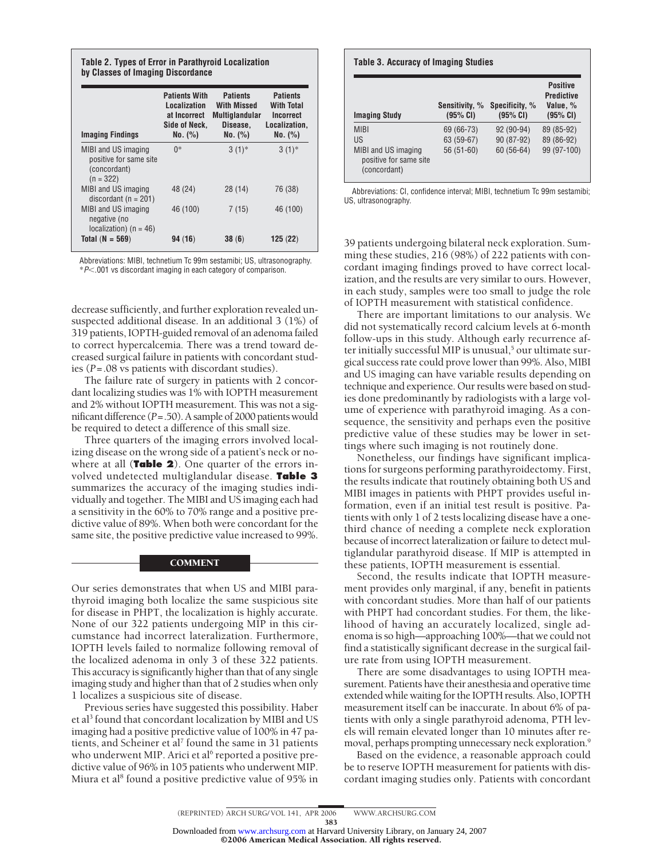| Table 2. Types of Error in Parathyroid Localization<br>by Classes of Imaging Discordance |                                                                                  |                                                                                |                                                                               |  |  |
|------------------------------------------------------------------------------------------|----------------------------------------------------------------------------------|--------------------------------------------------------------------------------|-------------------------------------------------------------------------------|--|--|
| <b>Imaging Findings</b>                                                                  | <b>Patients With</b><br>Localization<br>at Incorrect<br>Side of Neck,<br>No. (%) | <b>Patients</b><br>With Missed<br><b>Multiglandular</b><br>Disease,<br>No. (%) | <b>Patients</b><br><b>With Total</b><br>Incorrect<br>Localization,<br>No. (%) |  |  |
| MIBI and US imaging<br>positive for same site<br>(concordant)<br>$(n = 322)$             | $0*$                                                                             | $3(1)$ *                                                                       | $3(1)$ *                                                                      |  |  |
| MIBI and US imaging<br>discordant ( $n = 201$ )                                          | 48 (24)                                                                          | 28(14)                                                                         | 76 (38)                                                                       |  |  |
| MIBI and US imaging<br>negative (no<br>localization) ( $n = 46$ )                        | 46 (100)                                                                         | 7(15)                                                                          | 46 (100)                                                                      |  |  |
| Total $(N = 569)$                                                                        | 94(16)                                                                           | 38(6)                                                                          | 125(22)                                                                       |  |  |

Abbreviations: MIBI, technetium Tc 99m sestamibi; US, ultrasonography. \**P*.001 vs discordant imaging in each category of comparison.

decrease sufficiently, and further exploration revealed unsuspected additional disease. In an additional 3 (1%) of 319 patients, IOPTH-guided removal of an adenoma failed to correct hypercalcemia. There was a trend toward decreased surgical failure in patients with concordant studies (*P*=.08 vs patients with discordant studies).

The failure rate of surgery in patients with 2 concordant localizing studies was 1% with IOPTH measurement and 2% without IOPTH measurement. This was not a significant difference (*P*=.50). A sample of 2000 patients would be required to detect a difference of this small size.

Three quarters of the imaging errors involved localizing disease on the wrong side of a patient's neck or nowhere at all (**Table 2**). One quarter of the errors involved undetected multiglandular disease. **Table 3** summarizes the accuracy of the imaging studies individually and together. The MIBI and US imaging each had a sensitivity in the 60% to 70% range and a positive predictive value of 89%. When both were concordant for the same site, the positive predictive value increased to 99%.

## **COMMENT**

Our series demonstrates that when US and MIBI parathyroid imaging both localize the same suspicious site for disease in PHPT, the localization is highly accurate. None of our 322 patients undergoing MIP in this circumstance had incorrect lateralization. Furthermore, IOPTH levels failed to normalize following removal of the localized adenoma in only 3 of these 322 patients. This accuracy is significantly higher than that of any single imaging study and higher than that of 2 studies when only 1 localizes a suspicious site of disease.

Previous series have suggested this possibility. Haber et al<sup>3</sup> found that concordant localization by MIBI and US imaging had a positive predictive value of 100% in 47 patients, and Scheiner et al<sup>7</sup> found the same in 31 patients who underwent MIP. Arici et al<sup>6</sup> reported a positive predictive value of 96% in 105 patients who underwent MIP. Miura et al<sup>8</sup> found a positive predictive value of 95% in

| <b>Table 3. Accuracy of Imaging Studies</b>                   |                            |                            |                                                              |  |  |  |
|---------------------------------------------------------------|----------------------------|----------------------------|--------------------------------------------------------------|--|--|--|
| <b>Imaging Study</b>                                          | Sensitivity, %<br>(95% CI) | Specificity, %<br>(95% CI) | <b>Positive</b><br><b>Predictive</b><br>Value, %<br>(95% CI) |  |  |  |
| <b>MIRI</b>                                                   | 69 (66-73)                 | $92(90-94)$                | 89 (85-92)                                                   |  |  |  |
| US                                                            | 63 (59-67)                 | 90 (87-92)                 | 89 (86-92)                                                   |  |  |  |
| MIBI and US imaging<br>positive for same site<br>(concordant) | $56(51-60)$                | 60 (56-64)                 | 99 (97-100)                                                  |  |  |  |

Abbreviations: CI, confidence interval; MIBI, technetium Tc 99m sestamibi; US, ultrasonography.

39 patients undergoing bilateral neck exploration. Summing these studies, 216 (98%) of 222 patients with concordant imaging findings proved to have correct localization, and the results are very similar to ours. However, in each study, samples were too small to judge the role of IOPTH measurement with statistical confidence.

There are important limitations to our analysis. We did not systematically record calcium levels at 6-month follow-ups in this study. Although early recurrence after initially successful MIP is unusual,<sup>5</sup> our ultimate surgical success rate could prove lower than 99%. Also, MIBI and US imaging can have variable results depending on technique and experience. Our results were based on studies done predominantly by radiologists with a large volume of experience with parathyroid imaging. As a consequence, the sensitivity and perhaps even the positive predictive value of these studies may be lower in settings where such imaging is not routinely done.

Nonetheless, our findings have significant implications for surgeons performing parathyroidectomy. First, the results indicate that routinely obtaining both US and MIBI images in patients with PHPT provides useful information, even if an initial test result is positive. Patients with only 1 of 2 tests localizing disease have a onethird chance of needing a complete neck exploration because of incorrect lateralization or failure to detect multiglandular parathyroid disease. If MIP is attempted in these patients, IOPTH measurement is essential.

Second, the results indicate that IOPTH measurement provides only marginal, if any, benefit in patients with concordant studies. More than half of our patients with PHPT had concordant studies. For them, the likelihood of having an accurately localized, single adenoma is so high—approaching 100%—that we could not find a statistically significant decrease in the surgical failure rate from using IOPTH measurement.

There are some disadvantages to using IOPTH measurement. Patients have their anesthesia and operative time extended while waiting for the IOPTH results. Also, IOPTH measurement itself can be inaccurate. In about 6% of patients with only a single parathyroid adenoma, PTH levels will remain elevated longer than 10 minutes after removal, perhaps prompting unnecessary neck exploration.<sup>9</sup>

Based on the evidence, a reasonable approach could be to reserve IOPTH measurement for patients with discordant imaging studies only. Patients with concordant